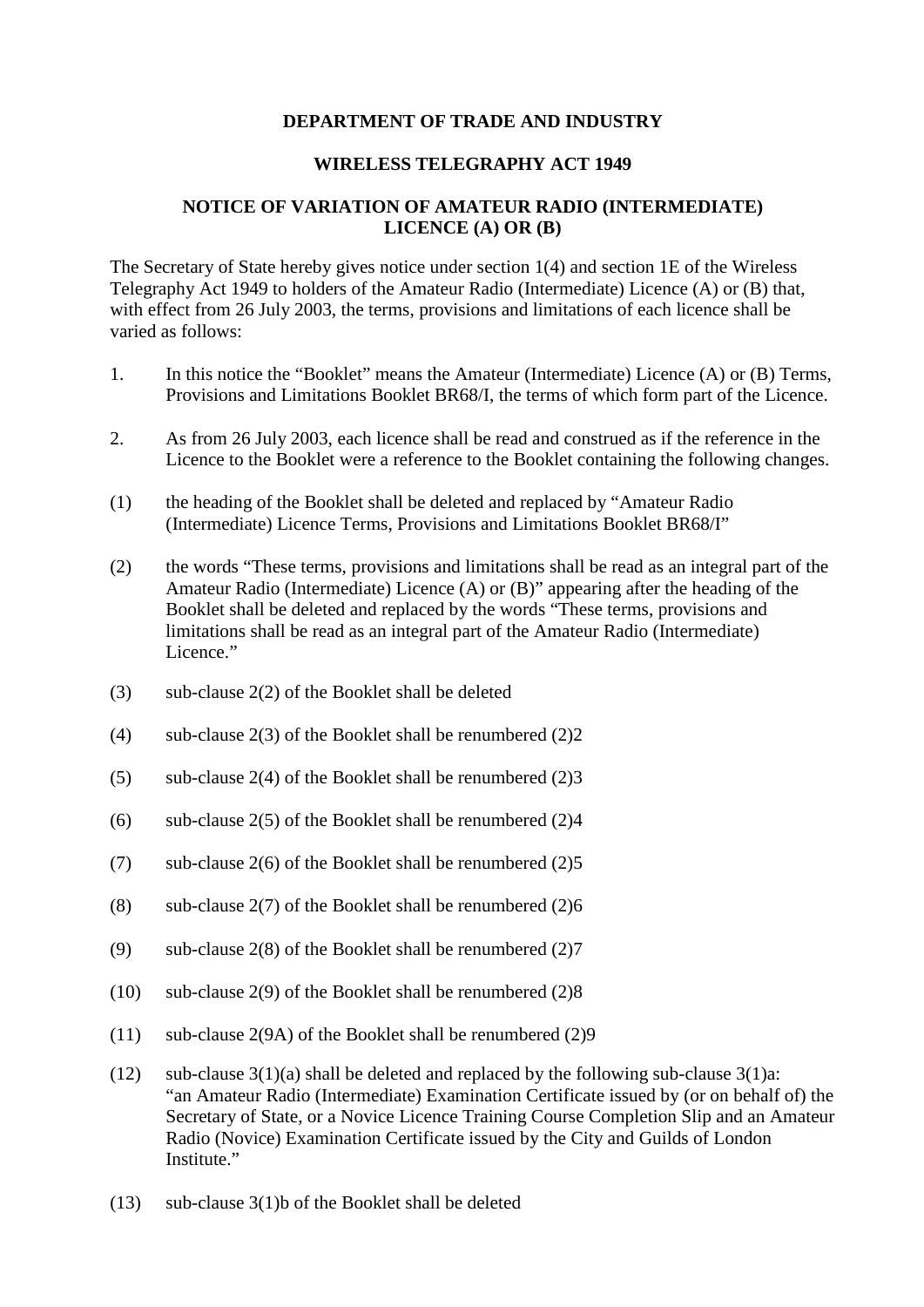## **DEPARTMENT OF TRADE AND INDUSTRY**

## **WIRELESS TELEGRAPHY ACT 1949**

## **NOTICE OF VARIATION OF AMATEUR RADIO (INTERMEDIATE) LICENCE (A) OR (B)**

The Secretary of State hereby gives notice under section 1(4) and section 1E of the Wireless Telegraphy Act 1949 to holders of the Amateur Radio (Intermediate) Licence (A) or (B) that, with effect from 26 July 2003, the terms, provisions and limitations of each licence shall be varied as follows:

- 1. In this notice the "Booklet" means the Amateur (Intermediate) Licence (A) or (B) Terms, Provisions and Limitations Booklet BR68/I, the terms of which form part of the Licence.
- 2. As from 26 July 2003, each licence shall be read and construed as if the reference in the Licence to the Booklet were a reference to the Booklet containing the following changes.
- (1) the heading of the Booklet shall be deleted and replaced by "Amateur Radio (Intermediate) Licence Terms, Provisions and Limitations Booklet BR68/I"
- (2) the words "These terms, provisions and limitations shall be read as an integral part of the Amateur Radio (Intermediate) Licence (A) or (B)" appearing after the heading of the Booklet shall be deleted and replaced by the words "These terms, provisions and limitations shall be read as an integral part of the Amateur Radio (Intermediate) Licence."
- (3) sub-clause 2(2) of the Booklet shall be deleted
- (4) sub-clause  $2(3)$  of the Booklet shall be renumbered  $(2)2$
- (5) sub-clause  $2(4)$  of the Booklet shall be renumbered  $(2)3$
- (6) sub-clause  $2(5)$  of the Booklet shall be renumbered  $(2)4$
- (7) sub-clause  $2(6)$  of the Booklet shall be renumbered  $(2)5$
- (8) sub-clause  $2(7)$  of the Booklet shall be renumbered  $(2)6$
- (9) sub-clause  $2(8)$  of the Booklet shall be renumbered  $(2)7$
- (10) sub-clause 2(9) of the Booklet shall be renumbered (2)8
- (11) sub-clause 2(9A) of the Booklet shall be renumbered (2)9
- (12) sub-clause  $3(1)(a)$  shall be deleted and replaced by the following sub-clause  $3(1)a$ : "an Amateur Radio (Intermediate) Examination Certificate issued by (or on behalf of) the Secretary of State, or a Novice Licence Training Course Completion Slip and an Amateur Radio (Novice) Examination Certificate issued by the City and Guilds of London Institute."
- (13) sub-clause 3(1)b of the Booklet shall be deleted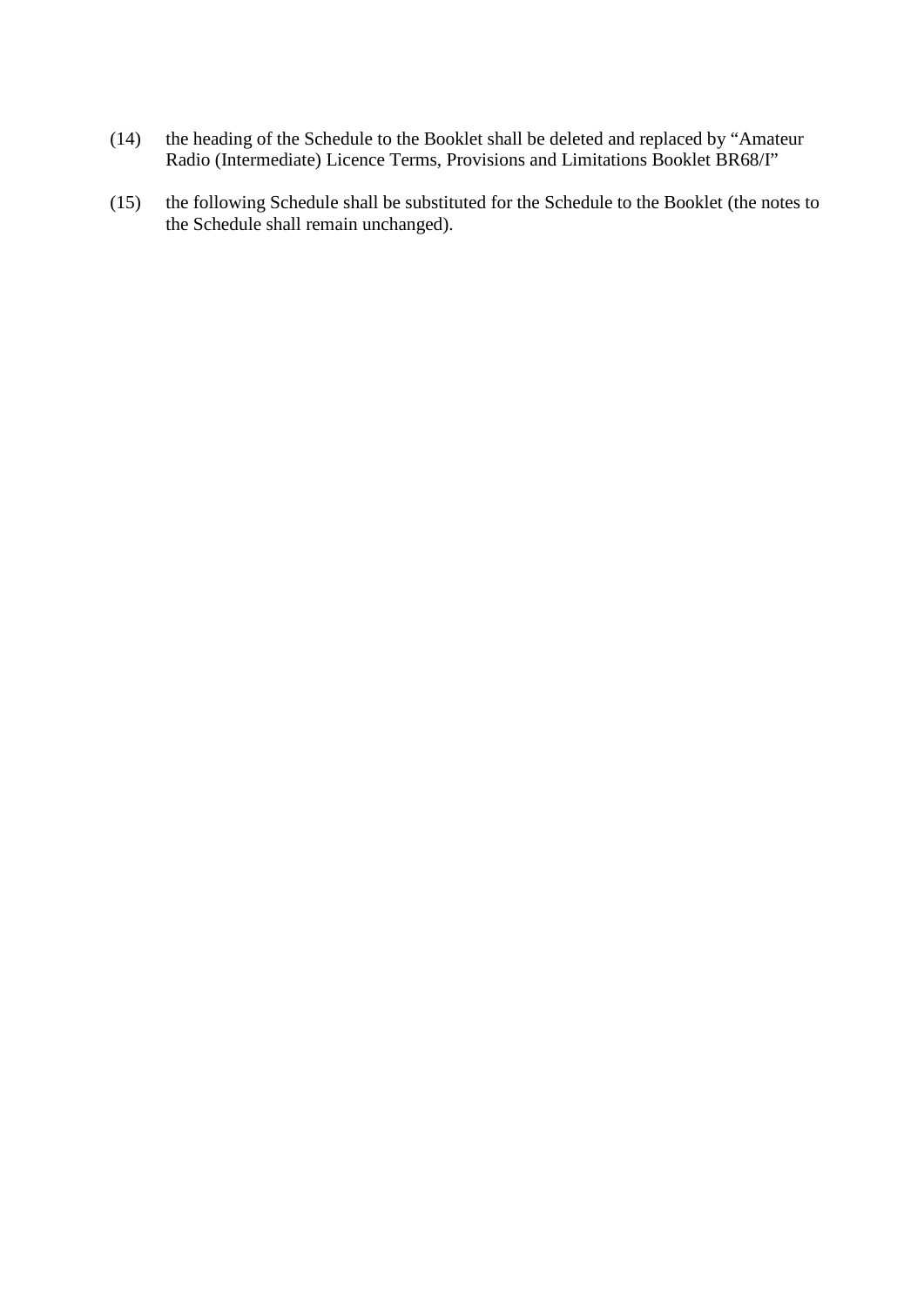- (14) the heading of the Schedule to the Booklet shall be deleted and replaced by "Amateur Radio (Intermediate) Licence Terms, Provisions and Limitations Booklet BR68/I"
- (15) the following Schedule shall be substituted for the Schedule to the Booklet (the notes to the Schedule shall remain unchanged).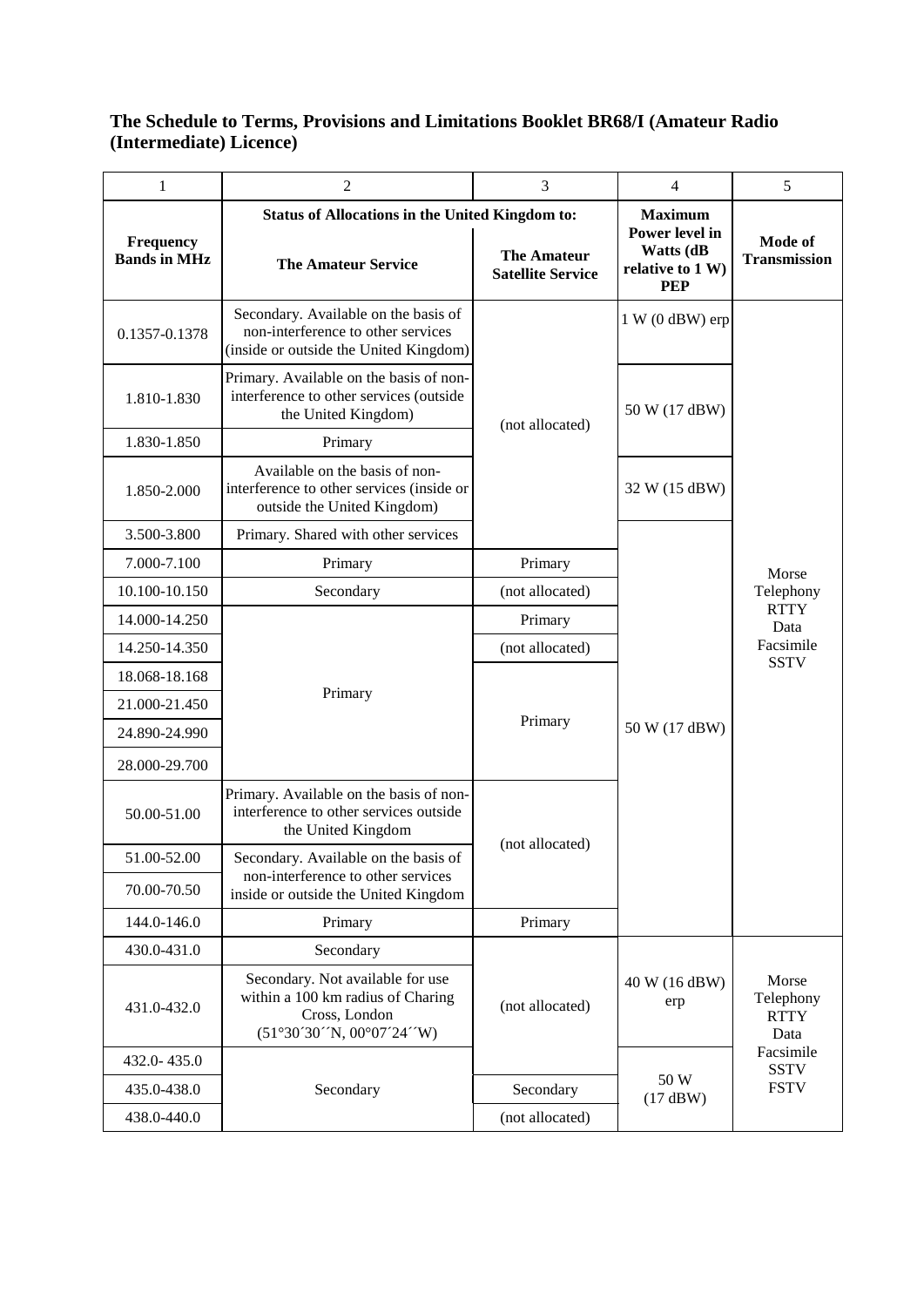## **The Schedule to Terms, Provisions and Limitations Booklet BR68/I (Amateur Radio (Intermediate) Licence)**

| $\mathbf{1}$                     | $\overline{2}$                                                                                                       | 3                                              | $\overline{4}$                              | 5                                                                     |
|----------------------------------|----------------------------------------------------------------------------------------------------------------------|------------------------------------------------|---------------------------------------------|-----------------------------------------------------------------------|
|                                  | <b>Status of Allocations in the United Kingdom to:</b>                                                               |                                                | <b>Maximum</b><br>Power level in            |                                                                       |
| Frequency<br><b>Bands in MHz</b> | <b>The Amateur Service</b>                                                                                           | <b>The Amateur</b><br><b>Satellite Service</b> | Watts (dB<br>relative to 1 W)<br><b>PEP</b> | Mode of<br><b>Transmission</b>                                        |
| 0.1357-0.1378                    | Secondary. Available on the basis of<br>non-interference to other services<br>(inside or outside the United Kingdom) |                                                | $1 W (0 dBW)$ erp                           |                                                                       |
| 1.810-1.830                      | Primary. Available on the basis of non-<br>interference to other services (outside<br>the United Kingdom)            | (not allocated)                                | 50 W (17 dBW)                               |                                                                       |
| 1.830-1.850                      | Primary                                                                                                              |                                                |                                             | Morse<br>Telephony<br><b>RTTY</b><br>Data<br>Facsimile<br><b>SSTV</b> |
| 1.850-2.000                      | Available on the basis of non-<br>interference to other services (inside or<br>outside the United Kingdom)           |                                                | 32 W (15 dBW)                               |                                                                       |
| 3.500-3.800                      | Primary. Shared with other services                                                                                  |                                                |                                             |                                                                       |
| 7.000-7.100                      | Primary                                                                                                              | Primary                                        |                                             |                                                                       |
| 10.100-10.150                    | Secondary                                                                                                            | (not allocated)                                | 50 W (17 dBW)                               |                                                                       |
| 14.000-14.250                    |                                                                                                                      | Primary                                        |                                             |                                                                       |
| 14.250-14.350                    |                                                                                                                      | (not allocated)                                |                                             |                                                                       |
| 18.068-18.168                    | Primary                                                                                                              | Primary                                        |                                             |                                                                       |
| 21.000-21.450                    |                                                                                                                      |                                                |                                             |                                                                       |
| 24.890-24.990                    |                                                                                                                      |                                                |                                             |                                                                       |
| 28.000-29.700                    |                                                                                                                      |                                                |                                             |                                                                       |
| 50.00-51.00                      | Primary. Available on the basis of non-<br>interference to other services outside<br>the United Kingdom              | (not allocated)                                |                                             |                                                                       |
| 51.00-52.00                      | Secondary. Available on the basis of                                                                                 |                                                |                                             |                                                                       |
| 70.00-70.50                      | non-interference to other services<br>inside or outside the United Kingdom                                           |                                                |                                             |                                                                       |
| 144.0-146.0                      | Primary                                                                                                              | Primary                                        |                                             |                                                                       |
| 430.0-431.0                      | Secondary                                                                                                            |                                                |                                             |                                                                       |
| 431.0-432.0                      | Secondary. Not available for use<br>within a 100 km radius of Charing<br>Cross, London<br>(51°30'30'N, 00°07'24'W)   | (not allocated)                                | 40 W (16 dBW)<br>erp                        | Morse<br>Telephony<br><b>RTTY</b><br>Data                             |
| 432.0-435.0                      |                                                                                                                      |                                                | 50 W<br>(17 dBW)                            | Facsimile<br><b>SSTV</b><br><b>FSTV</b>                               |
| 435.0-438.0                      | Secondary                                                                                                            | Secondary                                      |                                             |                                                                       |
| 438.0-440.0                      |                                                                                                                      | (not allocated)                                |                                             |                                                                       |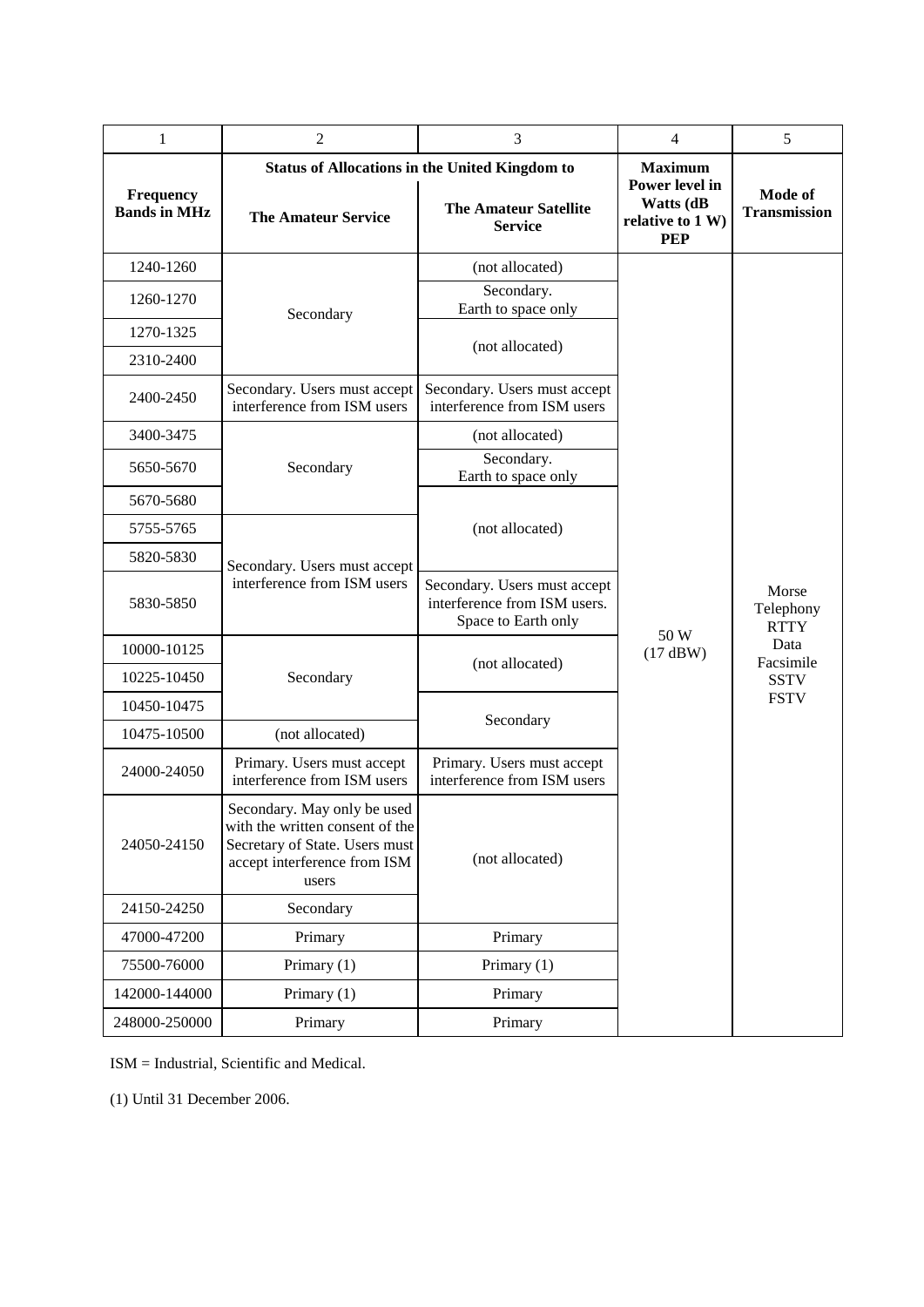| $\mathbf{1}$                     | $\overline{2}$                                                                                                                            | 3                                                                                   | $\overline{4}$                                                | 5                                                                                    |
|----------------------------------|-------------------------------------------------------------------------------------------------------------------------------------------|-------------------------------------------------------------------------------------|---------------------------------------------------------------|--------------------------------------------------------------------------------------|
|                                  | <b>Status of Allocations in the United Kingdom to</b>                                                                                     |                                                                                     | <b>Maximum</b>                                                |                                                                                      |
| Frequency<br><b>Bands in MHz</b> | <b>The Amateur Service</b>                                                                                                                | <b>The Amateur Satellite</b><br><b>Service</b>                                      | Power level in<br>Watts (dB<br>relative to 1 W)<br><b>PEP</b> | Mode of<br><b>Transmission</b>                                                       |
| 1240-1260                        | Secondary                                                                                                                                 | (not allocated)                                                                     | 50 W<br>(17 dBW)                                              | Morse<br>Telephony<br><b>RTTY</b><br>Data<br>Facsimile<br><b>SSTV</b><br><b>FSTV</b> |
| 1260-1270                        |                                                                                                                                           | Secondary.<br>Earth to space only                                                   |                                                               |                                                                                      |
| 1270-1325                        |                                                                                                                                           | (not allocated)                                                                     |                                                               |                                                                                      |
| 2310-2400                        |                                                                                                                                           |                                                                                     |                                                               |                                                                                      |
| 2400-2450                        | Secondary. Users must accept<br>interference from ISM users                                                                               | Secondary. Users must accept<br>interference from ISM users                         |                                                               |                                                                                      |
| 3400-3475                        | Secondary                                                                                                                                 | (not allocated)                                                                     |                                                               |                                                                                      |
| 5650-5670                        |                                                                                                                                           | Secondary.<br>Earth to space only                                                   |                                                               |                                                                                      |
| 5670-5680                        |                                                                                                                                           | (not allocated)                                                                     |                                                               |                                                                                      |
| 5755-5765                        |                                                                                                                                           |                                                                                     |                                                               |                                                                                      |
| 5820-5830                        | Secondary. Users must accept<br>interference from ISM users                                                                               |                                                                                     |                                                               |                                                                                      |
| 5830-5850                        |                                                                                                                                           | Secondary. Users must accept<br>interference from ISM users.<br>Space to Earth only |                                                               |                                                                                      |
| 10000-10125                      | Secondary                                                                                                                                 | (not allocated)                                                                     |                                                               |                                                                                      |
| 10225-10450                      |                                                                                                                                           |                                                                                     |                                                               |                                                                                      |
| 10450-10475                      |                                                                                                                                           | Secondary                                                                           |                                                               |                                                                                      |
| 10475-10500                      | (not allocated)                                                                                                                           |                                                                                     |                                                               |                                                                                      |
| 24000-24050                      | Primary. Users must accept<br>interference from ISM users                                                                                 | Primary. Users must accept<br>interference from ISM users                           |                                                               |                                                                                      |
| 24050-24150                      | Secondary. May only be used<br>with the written consent of the<br>Secretary of State. Users must<br>accept interference from ISM<br>users | (not allocated)                                                                     |                                                               |                                                                                      |
| 24150-24250                      | Secondary                                                                                                                                 |                                                                                     |                                                               |                                                                                      |
| 47000-47200                      | Primary                                                                                                                                   | Primary                                                                             |                                                               |                                                                                      |
| 75500-76000                      | Primary (1)                                                                                                                               | Primary (1)                                                                         |                                                               |                                                                                      |
| 142000-144000                    | Primary (1)                                                                                                                               | Primary                                                                             |                                                               |                                                                                      |
| 248000-250000                    | Primary                                                                                                                                   | Primary                                                                             |                                                               |                                                                                      |

ISM = Industrial, Scientific and Medical.

(1) Until 31 December 2006.